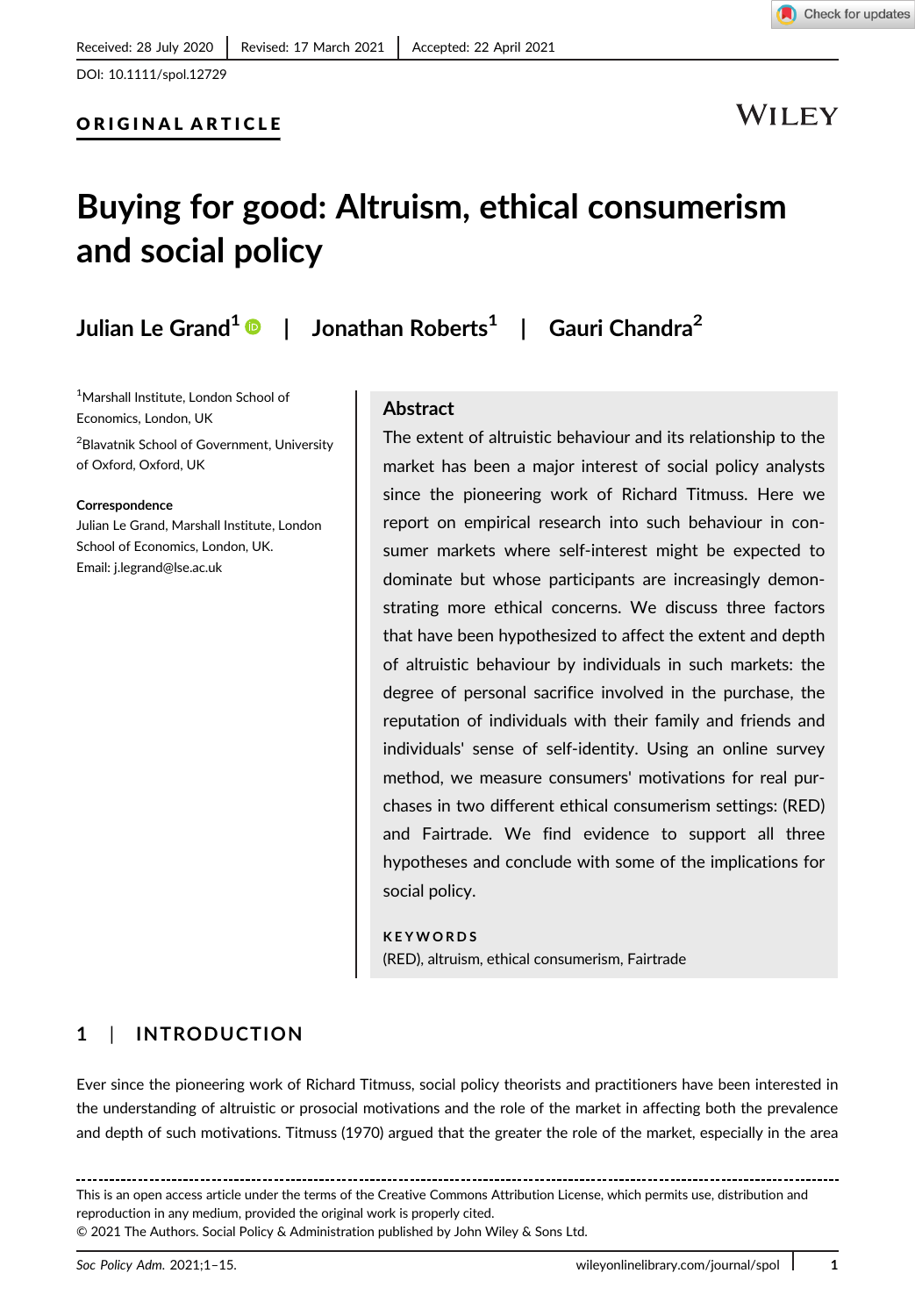**WILEY** 

# Buying for good: Altruism, ethical consumerism and social policy

Julian Le Grand<sup>1</sup> | Jonathan Roberts<sup>1</sup> | Gauri Chandra<sup>2</sup>

1 Marshall Institute, London School of Economics, London, UK 2 Blavatnik School of Government, University

of Oxford, Oxford, UK

#### Correspondence

Julian Le Grand, Marshall Institute, London School of Economics, London, UK. Email: [j.legrand@lse.ac.uk](mailto:j.legrand@lse.ac.uk)

### Abstract

The extent of altruistic behaviour and its relationship to the market has been a major interest of social policy analysts since the pioneering work of Richard Titmuss. Here we report on empirical research into such behaviour in consumer markets where self-interest might be expected to dominate but whose participants are increasingly demonstrating more ethical concerns. We discuss three factors that have been hypothesized to affect the extent and depth of altruistic behaviour by individuals in such markets: the degree of personal sacrifice involved in the purchase, the reputation of individuals with their family and friends and individuals' sense of self-identity. Using an online survey method, we measure consumers' motivations for real purchases in two different ethical consumerism settings: (RED) and Fairtrade. We find evidence to support all three hypotheses and conclude with some of the implications for social policy.

KEYWORDS (RED), altruism, ethical consumerism, Fairtrade

# 1 | INTRODUCTION

Ever since the pioneering work of Richard Titmuss, social policy theorists and practitioners have been interested in the understanding of altruistic or prosocial motivations and the role of the market in affecting both the prevalence and depth of such motivations. Titmuss (1970) argued that the greater the role of the market, especially in the area

This is an open access article under the terms of the [Creative Commons Attribution](http://creativecommons.org/licenses/by/4.0/) License, which permits use, distribution and reproduction in any medium, provided the original work is properly cited. © 2021 The Authors. Social Policy & Administration published by John Wiley & Sons Ltd.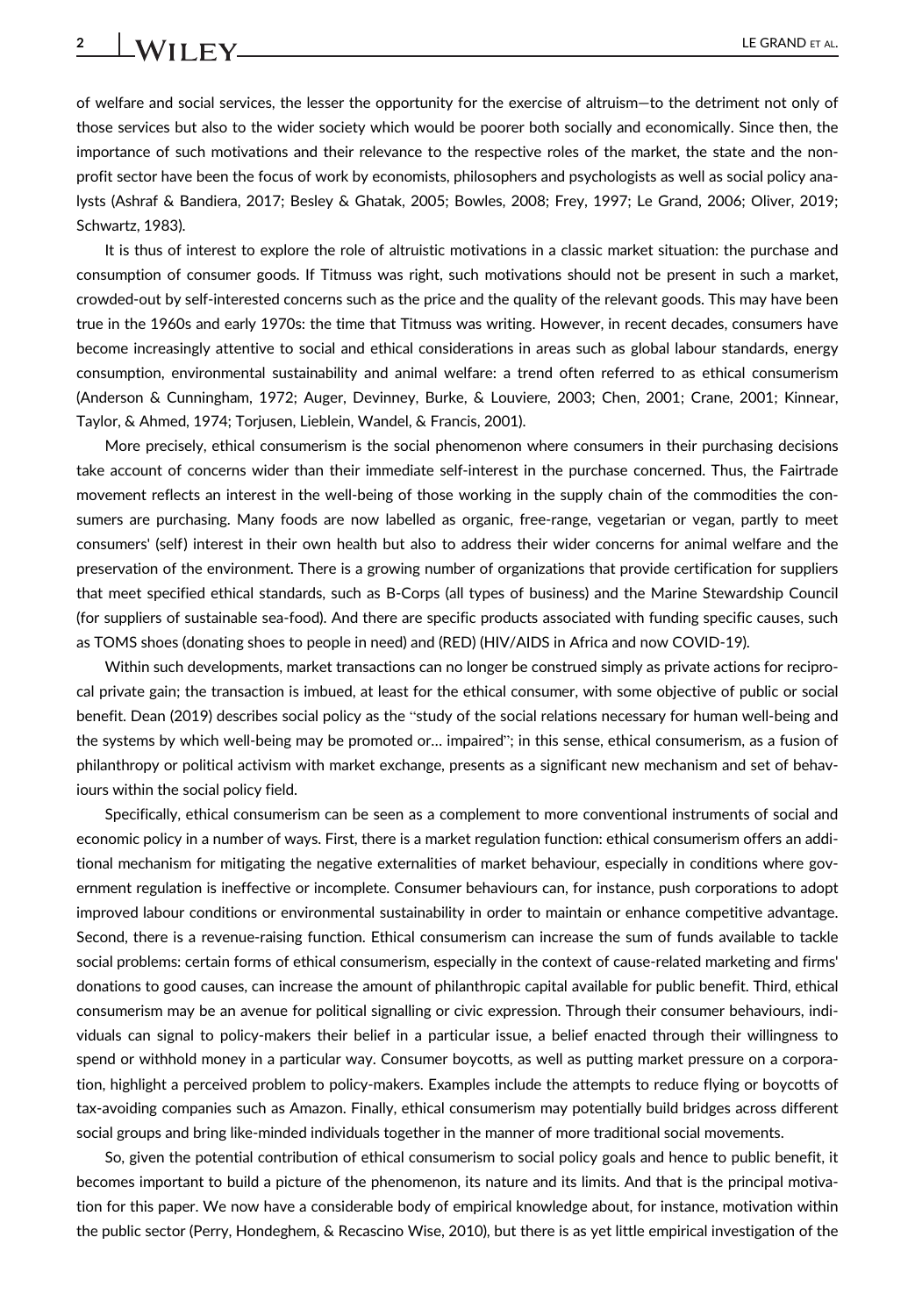# 2 LE GRAND ET AL.

of welfare and social services, the lesser the opportunity for the exercise of altruism—to the detriment not only of those services but also to the wider society which would be poorer both socially and economically. Since then, the importance of such motivations and their relevance to the respective roles of the market, the state and the nonprofit sector have been the focus of work by economists, philosophers and psychologists as well as social policy analysts (Ashraf & Bandiera, 2017; Besley & Ghatak, 2005; Bowles, 2008; Frey, 1997; Le Grand, 2006; Oliver, 2019; Schwartz, 1983).

It is thus of interest to explore the role of altruistic motivations in a classic market situation: the purchase and consumption of consumer goods. If Titmuss was right, such motivations should not be present in such a market, crowded-out by self-interested concerns such as the price and the quality of the relevant goods. This may have been true in the 1960s and early 1970s: the time that Titmuss was writing. However, in recent decades, consumers have become increasingly attentive to social and ethical considerations in areas such as global labour standards, energy consumption, environmental sustainability and animal welfare: a trend often referred to as ethical consumerism (Anderson & Cunningham, 1972; Auger, Devinney, Burke, & Louviere, 2003; Chen, 2001; Crane, 2001; Kinnear, Taylor, & Ahmed, 1974; Torjusen, Lieblein, Wandel, & Francis, 2001).

More precisely, ethical consumerism is the social phenomenon where consumers in their purchasing decisions take account of concerns wider than their immediate self-interest in the purchase concerned. Thus, the Fairtrade movement reflects an interest in the well-being of those working in the supply chain of the commodities the consumers are purchasing. Many foods are now labelled as organic, free-range, vegetarian or vegan, partly to meet consumers' (self) interest in their own health but also to address their wider concerns for animal welfare and the preservation of the environment. There is a growing number of organizations that provide certification for suppliers that meet specified ethical standards, such as B-Corps (all types of business) and the Marine Stewardship Council (for suppliers of sustainable sea-food). And there are specific products associated with funding specific causes, such as TOMS shoes (donating shoes to people in need) and (RED) (HIV/AIDS in Africa and now COVID-19).

Within such developments, market transactions can no longer be construed simply as private actions for reciprocal private gain; the transaction is imbued, at least for the ethical consumer, with some objective of public or social benefit. Dean (2019) describes social policy as the "study of the social relations necessary for human well-being and the systems by which well-being may be promoted or… impaired"; in this sense, ethical consumerism, as a fusion of philanthropy or political activism with market exchange, presents as a significant new mechanism and set of behaviours within the social policy field.

Specifically, ethical consumerism can be seen as a complement to more conventional instruments of social and economic policy in a number of ways. First, there is a market regulation function: ethical consumerism offers an additional mechanism for mitigating the negative externalities of market behaviour, especially in conditions where government regulation is ineffective or incomplete. Consumer behaviours can, for instance, push corporations to adopt improved labour conditions or environmental sustainability in order to maintain or enhance competitive advantage. Second, there is a revenue-raising function. Ethical consumerism can increase the sum of funds available to tackle social problems: certain forms of ethical consumerism, especially in the context of cause-related marketing and firms' donations to good causes, can increase the amount of philanthropic capital available for public benefit. Third, ethical consumerism may be an avenue for political signalling or civic expression. Through their consumer behaviours, individuals can signal to policy-makers their belief in a particular issue, a belief enacted through their willingness to spend or withhold money in a particular way. Consumer boycotts, as well as putting market pressure on a corporation, highlight a perceived problem to policy-makers. Examples include the attempts to reduce flying or boycotts of tax-avoiding companies such as Amazon. Finally, ethical consumerism may potentially build bridges across different social groups and bring like-minded individuals together in the manner of more traditional social movements.

So, given the potential contribution of ethical consumerism to social policy goals and hence to public benefit, it becomes important to build a picture of the phenomenon, its nature and its limits. And that is the principal motivation for this paper. We now have a considerable body of empirical knowledge about, for instance, motivation within the public sector (Perry, Hondeghem, & Recascino Wise, 2010), but there is as yet little empirical investigation of the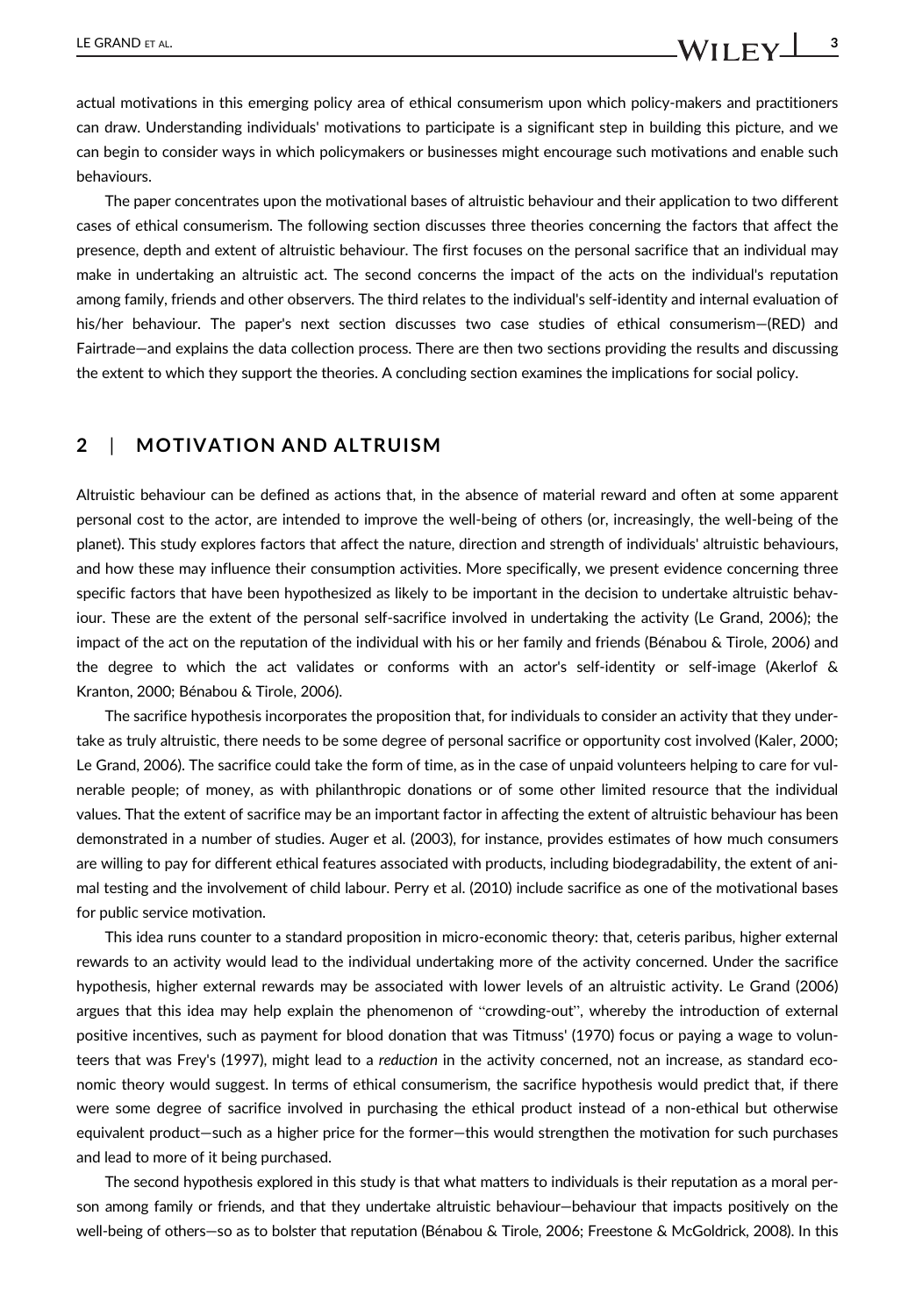actual motivations in this emerging policy area of ethical consumerism upon which policy-makers and practitioners can draw. Understanding individuals' motivations to participate is a significant step in building this picture, and we can begin to consider ways in which policymakers or businesses might encourage such motivations and enable such behaviours.

The paper concentrates upon the motivational bases of altruistic behaviour and their application to two different cases of ethical consumerism. The following section discusses three theories concerning the factors that affect the presence, depth and extent of altruistic behaviour. The first focuses on the personal sacrifice that an individual may make in undertaking an altruistic act. The second concerns the impact of the acts on the individual's reputation among family, friends and other observers. The third relates to the individual's self-identity and internal evaluation of his/her behaviour. The paper's next section discusses two case studies of ethical consumerism—(RED) and Fairtrade—and explains the data collection process. There are then two sections providing the results and discussing the extent to which they support the theories. A concluding section examines the implications for social policy.

# 2 | MOTIVATION AND ALTRUISM

Altruistic behaviour can be defined as actions that, in the absence of material reward and often at some apparent personal cost to the actor, are intended to improve the well-being of others (or, increasingly, the well-being of the planet). This study explores factors that affect the nature, direction and strength of individuals' altruistic behaviours, and how these may influence their consumption activities. More specifically, we present evidence concerning three specific factors that have been hypothesized as likely to be important in the decision to undertake altruistic behaviour. These are the extent of the personal self-sacrifice involved in undertaking the activity (Le Grand, 2006); the impact of the act on the reputation of the individual with his or her family and friends (Bénabou & Tirole, 2006) and the degree to which the act validates or conforms with an actor's self-identity or self-image (Akerlof & Kranton, 2000; Bénabou & Tirole, 2006).

The sacrifice hypothesis incorporates the proposition that, for individuals to consider an activity that they undertake as truly altruistic, there needs to be some degree of personal sacrifice or opportunity cost involved (Kaler, 2000; Le Grand, 2006). The sacrifice could take the form of time, as in the case of unpaid volunteers helping to care for vulnerable people; of money, as with philanthropic donations or of some other limited resource that the individual values. That the extent of sacrifice may be an important factor in affecting the extent of altruistic behaviour has been demonstrated in a number of studies. Auger et al. (2003), for instance, provides estimates of how much consumers are willing to pay for different ethical features associated with products, including biodegradability, the extent of animal testing and the involvement of child labour. Perry et al. (2010) include sacrifice as one of the motivational bases for public service motivation.

This idea runs counter to a standard proposition in micro-economic theory: that, ceteris paribus, higher external rewards to an activity would lead to the individual undertaking more of the activity concerned. Under the sacrifice hypothesis, higher external rewards may be associated with lower levels of an altruistic activity. Le Grand (2006) argues that this idea may help explain the phenomenon of "crowding-out", whereby the introduction of external positive incentives, such as payment for blood donation that was Titmuss' (1970) focus or paying a wage to volunteers that was Frey's (1997), might lead to a reduction in the activity concerned, not an increase, as standard economic theory would suggest. In terms of ethical consumerism, the sacrifice hypothesis would predict that, if there were some degree of sacrifice involved in purchasing the ethical product instead of a non-ethical but otherwise equivalent product—such as a higher price for the former—this would strengthen the motivation for such purchases and lead to more of it being purchased.

The second hypothesis explored in this study is that what matters to individuals is their reputation as a moral person among family or friends, and that they undertake altruistic behaviour—behaviour that impacts positively on the well-being of others—so as to bolster that reputation (Bénabou & Tirole, 2006; Freestone & McGoldrick, 2008). In this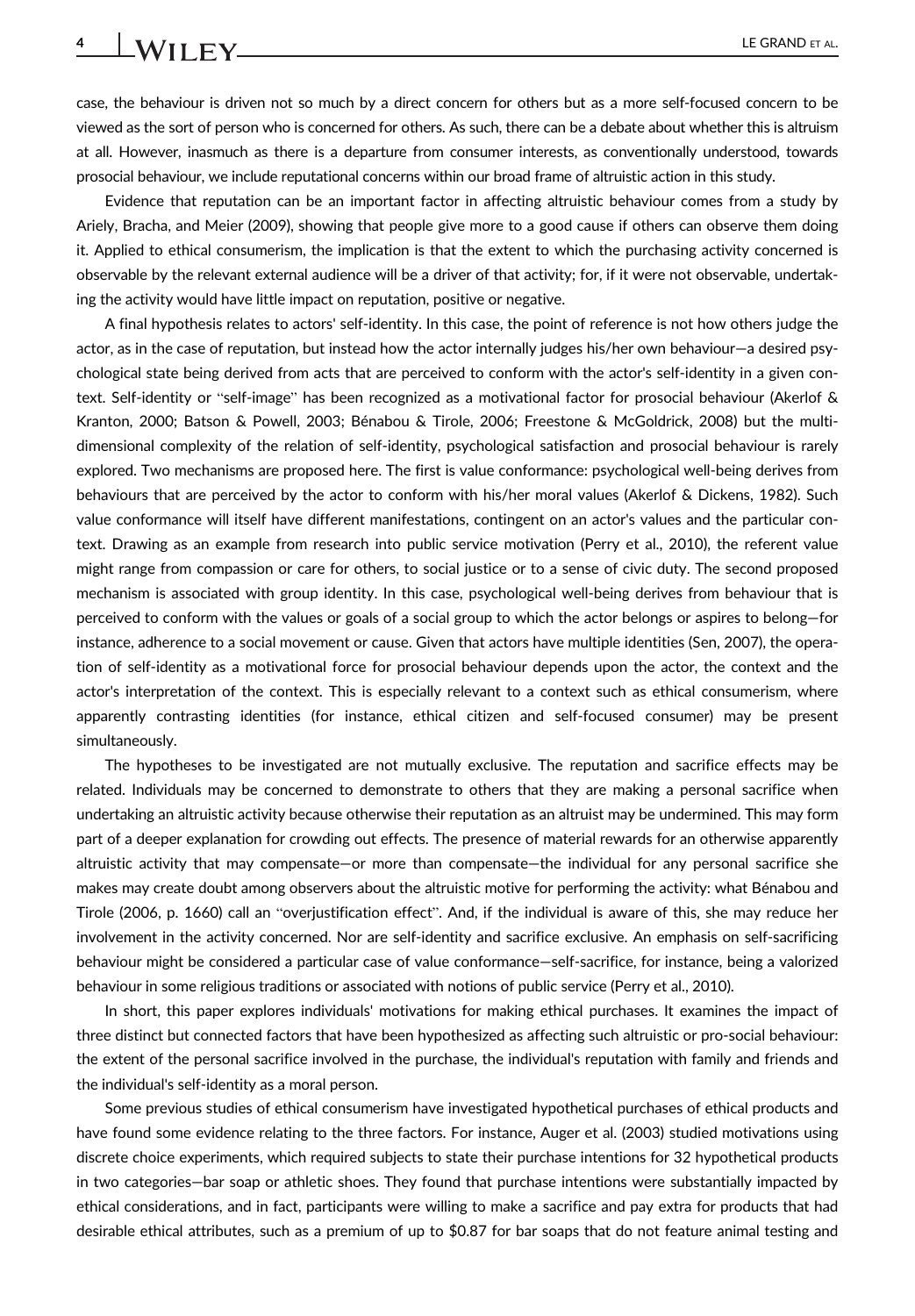case, the behaviour is driven not so much by a direct concern for others but as a more self-focused concern to be viewed as the sort of person who is concerned for others. As such, there can be a debate about whether this is altruism at all. However, inasmuch as there is a departure from consumer interests, as conventionally understood, towards prosocial behaviour, we include reputational concerns within our broad frame of altruistic action in this study.

Evidence that reputation can be an important factor in affecting altruistic behaviour comes from a study by Ariely, Bracha, and Meier (2009), showing that people give more to a good cause if others can observe them doing it. Applied to ethical consumerism, the implication is that the extent to which the purchasing activity concerned is observable by the relevant external audience will be a driver of that activity; for, if it were not observable, undertaking the activity would have little impact on reputation, positive or negative.

A final hypothesis relates to actors' self-identity. In this case, the point of reference is not how others judge the actor, as in the case of reputation, but instead how the actor internally judges his/her own behaviour—a desired psychological state being derived from acts that are perceived to conform with the actor's self-identity in a given context. Self-identity or "self-image" has been recognized as a motivational factor for prosocial behaviour (Akerlof & Kranton, 2000; Batson & Powell, 2003; Bénabou & Tirole, 2006; Freestone & McGoldrick, 2008) but the multidimensional complexity of the relation of self-identity, psychological satisfaction and prosocial behaviour is rarely explored. Two mechanisms are proposed here. The first is value conformance: psychological well-being derives from behaviours that are perceived by the actor to conform with his/her moral values (Akerlof & Dickens, 1982). Such value conformance will itself have different manifestations, contingent on an actor's values and the particular context. Drawing as an example from research into public service motivation (Perry et al., 2010), the referent value might range from compassion or care for others, to social justice or to a sense of civic duty. The second proposed mechanism is associated with group identity. In this case, psychological well-being derives from behaviour that is perceived to conform with the values or goals of a social group to which the actor belongs or aspires to belong—for instance, adherence to a social movement or cause. Given that actors have multiple identities (Sen, 2007), the operation of self-identity as a motivational force for prosocial behaviour depends upon the actor, the context and the actor's interpretation of the context. This is especially relevant to a context such as ethical consumerism, where apparently contrasting identities (for instance, ethical citizen and self-focused consumer) may be present simultaneously.

The hypotheses to be investigated are not mutually exclusive. The reputation and sacrifice effects may be related. Individuals may be concerned to demonstrate to others that they are making a personal sacrifice when undertaking an altruistic activity because otherwise their reputation as an altruist may be undermined. This may form part of a deeper explanation for crowding out effects. The presence of material rewards for an otherwise apparently altruistic activity that may compensate—or more than compensate—the individual for any personal sacrifice she makes may create doubt among observers about the altruistic motive for performing the activity: what Bénabou and Tirole (2006, p. 1660) call an "overjustification effect". And, if the individual is aware of this, she may reduce her involvement in the activity concerned. Nor are self-identity and sacrifice exclusive. An emphasis on self-sacrificing behaviour might be considered a particular case of value conformance—self-sacrifice, for instance, being a valorized behaviour in some religious traditions or associated with notions of public service (Perry et al., 2010).

In short, this paper explores individuals' motivations for making ethical purchases. It examines the impact of three distinct but connected factors that have been hypothesized as affecting such altruistic or pro-social behaviour: the extent of the personal sacrifice involved in the purchase, the individual's reputation with family and friends and the individual's self-identity as a moral person.

Some previous studies of ethical consumerism have investigated hypothetical purchases of ethical products and have found some evidence relating to the three factors. For instance, Auger et al. (2003) studied motivations using discrete choice experiments, which required subjects to state their purchase intentions for 32 hypothetical products in two categories—bar soap or athletic shoes. They found that purchase intentions were substantially impacted by ethical considerations, and in fact, participants were willing to make a sacrifice and pay extra for products that had desirable ethical attributes, such as a premium of up to \$0.87 for bar soaps that do not feature animal testing and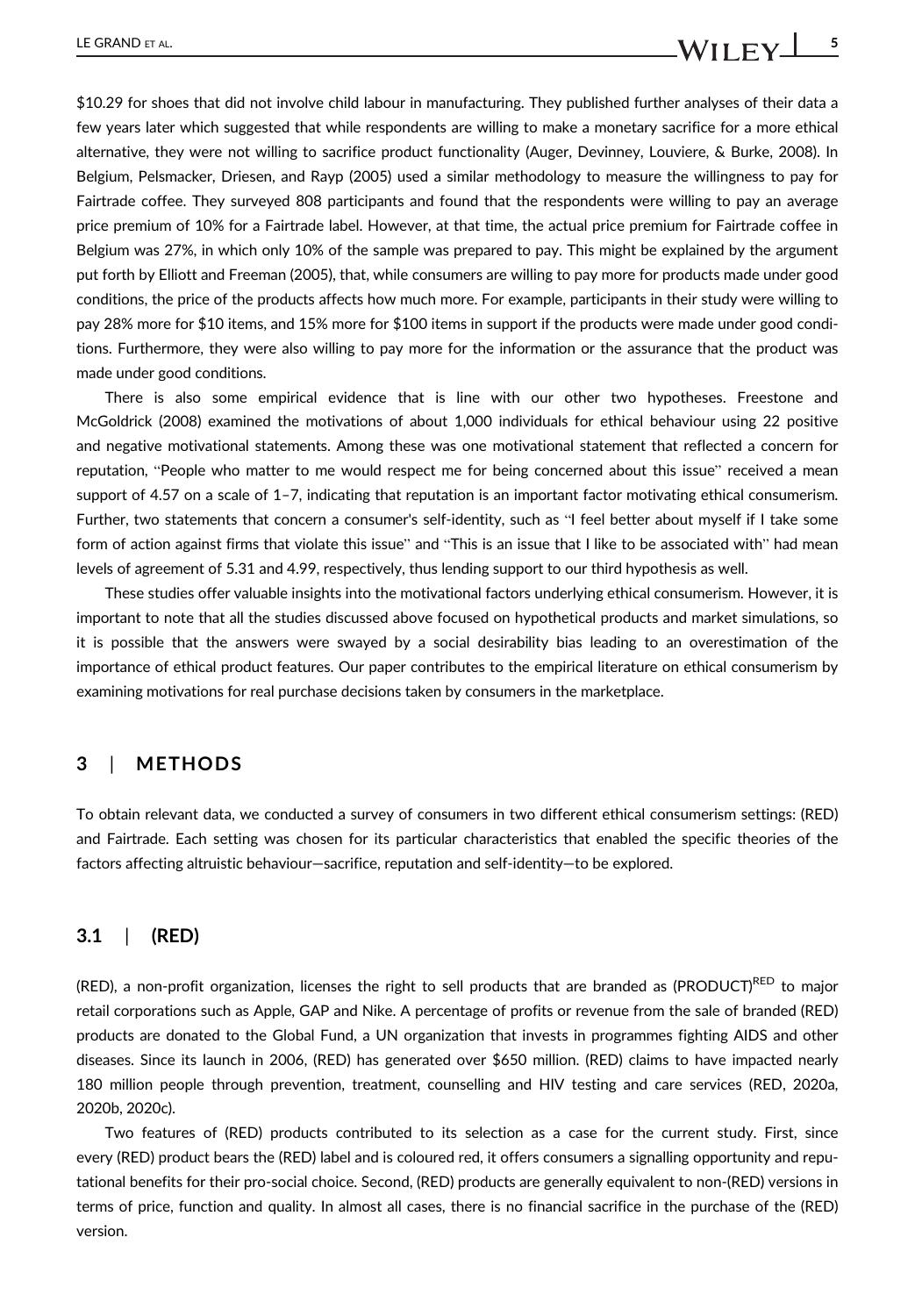\$10.29 for shoes that did not involve child labour in manufacturing. They published further analyses of their data a few years later which suggested that while respondents are willing to make a monetary sacrifice for a more ethical alternative, they were not willing to sacrifice product functionality (Auger, Devinney, Louviere, & Burke, 2008). In Belgium, Pelsmacker, Driesen, and Rayp (2005) used a similar methodology to measure the willingness to pay for Fairtrade coffee. They surveyed 808 participants and found that the respondents were willing to pay an average price premium of 10% for a Fairtrade label. However, at that time, the actual price premium for Fairtrade coffee in Belgium was 27%, in which only 10% of the sample was prepared to pay. This might be explained by the argument put forth by Elliott and Freeman (2005), that, while consumers are willing to pay more for products made under good conditions, the price of the products affects how much more. For example, participants in their study were willing to pay 28% more for \$10 items, and 15% more for \$100 items in support if the products were made under good conditions. Furthermore, they were also willing to pay more for the information or the assurance that the product was made under good conditions.

There is also some empirical evidence that is line with our other two hypotheses. Freestone and McGoldrick (2008) examined the motivations of about 1,000 individuals for ethical behaviour using 22 positive and negative motivational statements. Among these was one motivational statement that reflected a concern for reputation, "People who matter to me would respect me for being concerned about this issue" received a mean support of 4.57 on a scale of 1–7, indicating that reputation is an important factor motivating ethical consumerism. Further, two statements that concern a consumer's self-identity, such as "I feel better about myself if I take some form of action against firms that violate this issue" and "This is an issue that I like to be associated with" had mean levels of agreement of 5.31 and 4.99, respectively, thus lending support to our third hypothesis as well.

These studies offer valuable insights into the motivational factors underlying ethical consumerism. However, it is important to note that all the studies discussed above focused on hypothetical products and market simulations, so it is possible that the answers were swayed by a social desirability bias leading to an overestimation of the importance of ethical product features. Our paper contributes to the empirical literature on ethical consumerism by examining motivations for real purchase decisions taken by consumers in the marketplace.

## 3 | METHODS

To obtain relevant data, we conducted a survey of consumers in two different ethical consumerism settings: (RED) and Fairtrade. Each setting was chosen for its particular characteristics that enabled the specific theories of the factors affecting altruistic behaviour—sacrifice, reputation and self-identity—to be explored.

#### 3.1 | (RED)

(RED), a non-profit organization, licenses the right to sell products that are branded as (PRODUCT)RED to major retail corporations such as Apple, GAP and Nike. A percentage of profits or revenue from the sale of branded (RED) products are donated to the Global Fund, a UN organization that invests in programmes fighting AIDS and other diseases. Since its launch in 2006, (RED) has generated over \$650 million. (RED) claims to have impacted nearly 180 million people through prevention, treatment, counselling and HIV testing and care services (RED, 2020a, 2020b, 2020c).

Two features of (RED) products contributed to its selection as a case for the current study. First, since every (RED) product bears the (RED) label and is coloured red, it offers consumers a signalling opportunity and reputational benefits for their pro-social choice. Second, (RED) products are generally equivalent to non-(RED) versions in terms of price, function and quality. In almost all cases, there is no financial sacrifice in the purchase of the (RED) version.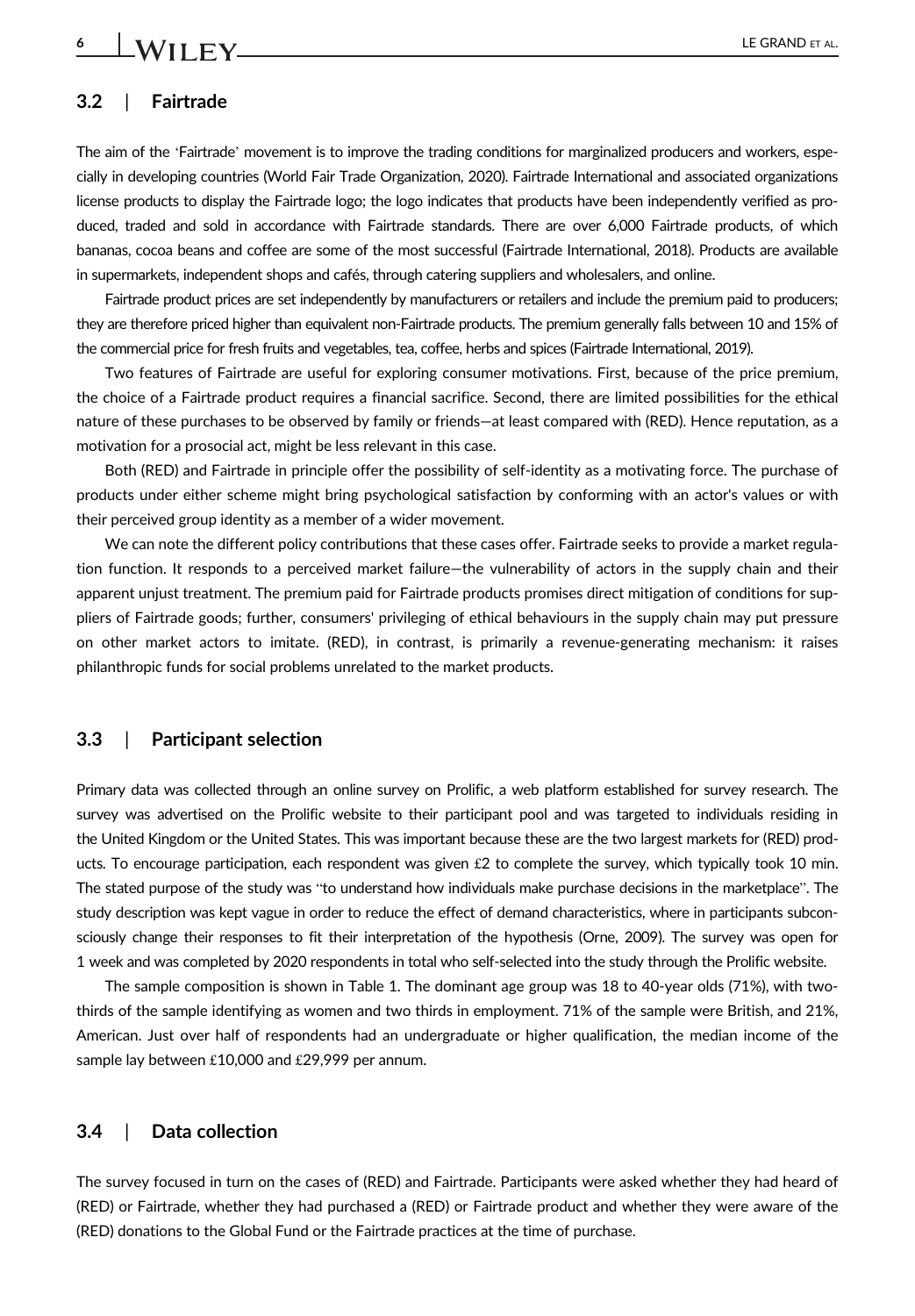#### 3.2 | Fairtrade

The aim of the 'Fairtrade' movement is to improve the trading conditions for marginalized producers and workers, especially in developing countries (World Fair Trade Organization, 2020). Fairtrade International and associated organizations license products to display the Fairtrade logo; the logo indicates that products have been independently verified as produced, traded and sold in accordance with Fairtrade standards. There are over 6,000 Fairtrade products, of which bananas, cocoa beans and coffee are some of the most successful (Fairtrade International, 2018). Products are available in supermarkets, independent shops and cafés, through catering suppliers and wholesalers, and online.

Fairtrade product prices are set independently by manufacturers or retailers and include the premium paid to producers; they are therefore priced higher than equivalent non-Fairtrade products. The premium generally falls between 10 and 15% of the commercial price for fresh fruits and vegetables, tea, coffee, herbs and spices (Fairtrade International, 2019).

Two features of Fairtrade are useful for exploring consumer motivations. First, because of the price premium, the choice of a Fairtrade product requires a financial sacrifice. Second, there are limited possibilities for the ethical nature of these purchases to be observed by family or friends—at least compared with (RED). Hence reputation, as a motivation for a prosocial act, might be less relevant in this case.

Both (RED) and Fairtrade in principle offer the possibility of self-identity as a motivating force. The purchase of products under either scheme might bring psychological satisfaction by conforming with an actor's values or with their perceived group identity as a member of a wider movement.

We can note the different policy contributions that these cases offer. Fairtrade seeks to provide a market regulation function. It responds to a perceived market failure—the vulnerability of actors in the supply chain and their apparent unjust treatment. The premium paid for Fairtrade products promises direct mitigation of conditions for suppliers of Fairtrade goods; further, consumers' privileging of ethical behaviours in the supply chain may put pressure on other market actors to imitate. (RED), in contrast, is primarily a revenue-generating mechanism: it raises philanthropic funds for social problems unrelated to the market products.

### 3.3 | Participant selection

Primary data was collected through an online survey on Prolific, a web platform established for survey research. The survey was advertised on the Prolific website to their participant pool and was targeted to individuals residing in the United Kingdom or the United States. This was important because these are the two largest markets for (RED) products. To encourage participation, each respondent was given  $£2$  to complete the survey, which typically took 10 min. The stated purpose of the study was "to understand how individuals make purchase decisions in the marketplace". The study description was kept vague in order to reduce the effect of demand characteristics, where in participants subconsciously change their responses to fit their interpretation of the hypothesis (Orne, 2009). The survey was open for 1 week and was completed by 2020 respondents in total who self-selected into the study through the Prolific website.

The sample composition is shown in Table 1. The dominant age group was 18 to 40-year olds (71%), with twothirds of the sample identifying as women and two thirds in employment. 71% of the sample were British, and 21%, American. Just over half of respondents had an undergraduate or higher qualification, the median income of the sample lay between £10,000 and £29,999 per annum.

#### 3.4 | Data collection

The survey focused in turn on the cases of (RED) and Fairtrade. Participants were asked whether they had heard of (RED) or Fairtrade, whether they had purchased a (RED) or Fairtrade product and whether they were aware of the (RED) donations to the Global Fund or the Fairtrade practices at the time of purchase.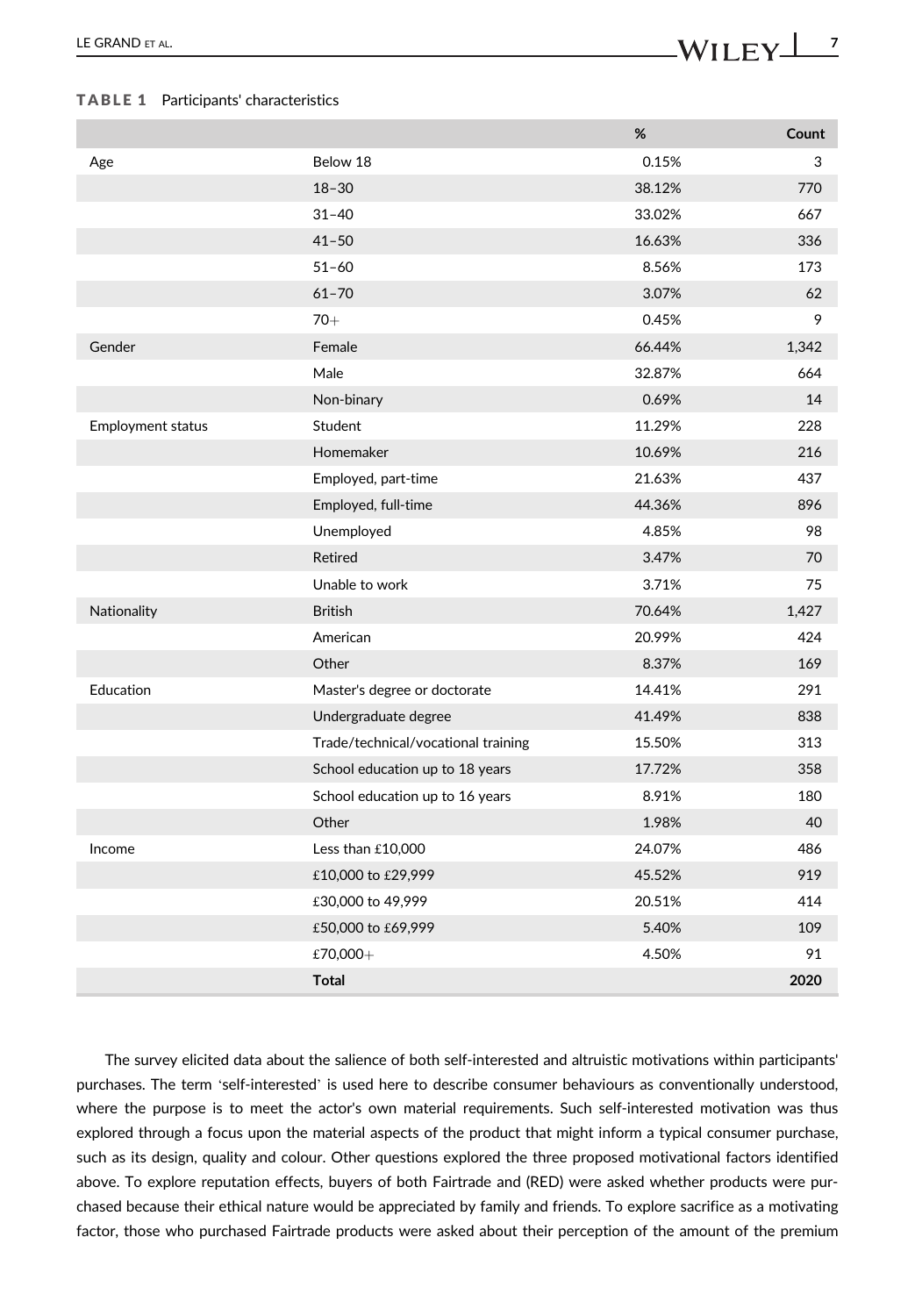#### TABLE 1 Participants' characteristics

|                          |                                     | %      | Count |
|--------------------------|-------------------------------------|--------|-------|
| Age                      | Below 18                            | 0.15%  | 3     |
|                          | $18 - 30$                           | 38.12% | 770   |
|                          | $31 - 40$                           | 33.02% | 667   |
|                          | $41 - 50$                           | 16.63% | 336   |
|                          | $51 - 60$                           | 8.56%  | 173   |
|                          | $61 - 70$                           | 3.07%  | 62    |
|                          | $70+$                               | 0.45%  | 9     |
| Gender                   | Female                              | 66.44% | 1,342 |
|                          | Male                                | 32.87% | 664   |
|                          | Non-binary                          | 0.69%  | 14    |
| <b>Employment status</b> | Student                             | 11.29% | 228   |
|                          | Homemaker                           | 10.69% | 216   |
|                          | Employed, part-time                 | 21.63% | 437   |
|                          | Employed, full-time                 | 44.36% | 896   |
|                          | Unemployed                          | 4.85%  | 98    |
|                          | Retired                             | 3.47%  | 70    |
|                          | Unable to work                      | 3.71%  | 75    |
| Nationality              | <b>British</b>                      | 70.64% | 1,427 |
|                          | American                            | 20.99% | 424   |
|                          | Other                               | 8.37%  | 169   |
| Education                | Master's degree or doctorate        | 14.41% | 291   |
|                          | Undergraduate degree                | 41.49% | 838   |
|                          | Trade/technical/vocational training | 15.50% | 313   |
|                          | School education up to 18 years     | 17.72% | 358   |
|                          | School education up to 16 years     | 8.91%  | 180   |
|                          | Other                               | 1.98%  | 40    |
| Income                   | Less than £10,000                   | 24.07% | 486   |
|                          | £10,000 to £29,999                  | 45.52% | 919   |
|                          | £30,000 to 49,999                   | 20.51% | 414   |
|                          | £50,000 to £69,999                  | 5.40%  | 109   |
|                          | £70,000+                            | 4.50%  | 91    |
|                          | <b>Total</b>                        |        | 2020  |

The survey elicited data about the salience of both self-interested and altruistic motivations within participants' purchases. The term 'self-interested' is used here to describe consumer behaviours as conventionally understood, where the purpose is to meet the actor's own material requirements. Such self-interested motivation was thus explored through a focus upon the material aspects of the product that might inform a typical consumer purchase, such as its design, quality and colour. Other questions explored the three proposed motivational factors identified above. To explore reputation effects, buyers of both Fairtrade and (RED) were asked whether products were purchased because their ethical nature would be appreciated by family and friends. To explore sacrifice as a motivating factor, those who purchased Fairtrade products were asked about their perception of the amount of the premium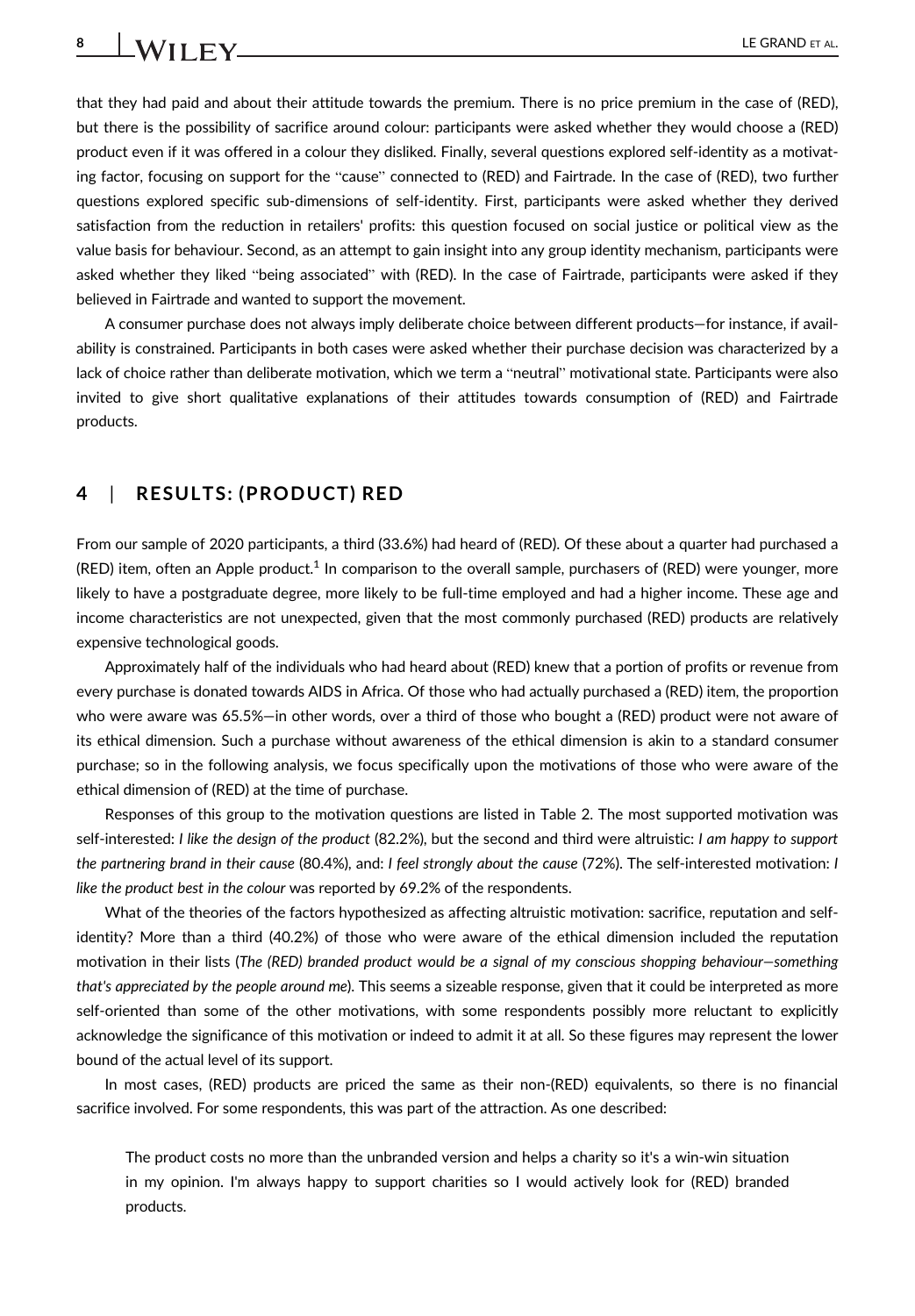that they had paid and about their attitude towards the premium. There is no price premium in the case of (RED), but there is the possibility of sacrifice around colour: participants were asked whether they would choose a (RED) product even if it was offered in a colour they disliked. Finally, several questions explored self-identity as a motivating factor, focusing on support for the "cause" connected to (RED) and Fairtrade. In the case of (RED), two further questions explored specific sub-dimensions of self-identity. First, participants were asked whether they derived satisfaction from the reduction in retailers' profits: this question focused on social justice or political view as the value basis for behaviour. Second, as an attempt to gain insight into any group identity mechanism, participants were asked whether they liked "being associated" with (RED). In the case of Fairtrade, participants were asked if they believed in Fairtrade and wanted to support the movement.

A consumer purchase does not always imply deliberate choice between different products—for instance, if availability is constrained. Participants in both cases were asked whether their purchase decision was characterized by a lack of choice rather than deliberate motivation, which we term a "neutral" motivational state. Participants were also invited to give short qualitative explanations of their attitudes towards consumption of (RED) and Fairtrade products.

# 4 | RESULTS: (PRODUCT) RED

From our sample of 2020 participants, a third (33.6%) had heard of (RED). Of these about a quarter had purchased a (RED) item, often an Apple product.<sup>1</sup> In comparison to the overall sample, purchasers of (RED) were younger, more likely to have a postgraduate degree, more likely to be full-time employed and had a higher income. These age and income characteristics are not unexpected, given that the most commonly purchased (RED) products are relatively expensive technological goods.

Approximately half of the individuals who had heard about (RED) knew that a portion of profits or revenue from every purchase is donated towards AIDS in Africa. Of those who had actually purchased a (RED) item, the proportion who were aware was 65.5%—in other words, over a third of those who bought a (RED) product were not aware of its ethical dimension. Such a purchase without awareness of the ethical dimension is akin to a standard consumer purchase; so in the following analysis, we focus specifically upon the motivations of those who were aware of the ethical dimension of (RED) at the time of purchase.

Responses of this group to the motivation questions are listed in Table 2. The most supported motivation was self-interested: I like the design of the product (82.2%), but the second and third were altruistic: I am happy to support the partnering brand in their cause (80.4%), and: I feel strongly about the cause (72%). The self-interested motivation: I like the product best in the colour was reported by 69.2% of the respondents.

What of the theories of the factors hypothesized as affecting altruistic motivation: sacrifice, reputation and selfidentity? More than a third (40.2%) of those who were aware of the ethical dimension included the reputation motivation in their lists (The (RED) branded product would be a signal of my conscious shopping behaviour—something that's appreciated by the people around me). This seems a sizeable response, given that it could be interpreted as more self-oriented than some of the other motivations, with some respondents possibly more reluctant to explicitly acknowledge the significance of this motivation or indeed to admit it at all. So these figures may represent the lower bound of the actual level of its support.

In most cases, (RED) products are priced the same as their non-(RED) equivalents, so there is no financial sacrifice involved. For some respondents, this was part of the attraction. As one described:

The product costs no more than the unbranded version and helps a charity so it's a win-win situation in my opinion. I'm always happy to support charities so I would actively look for (RED) branded products.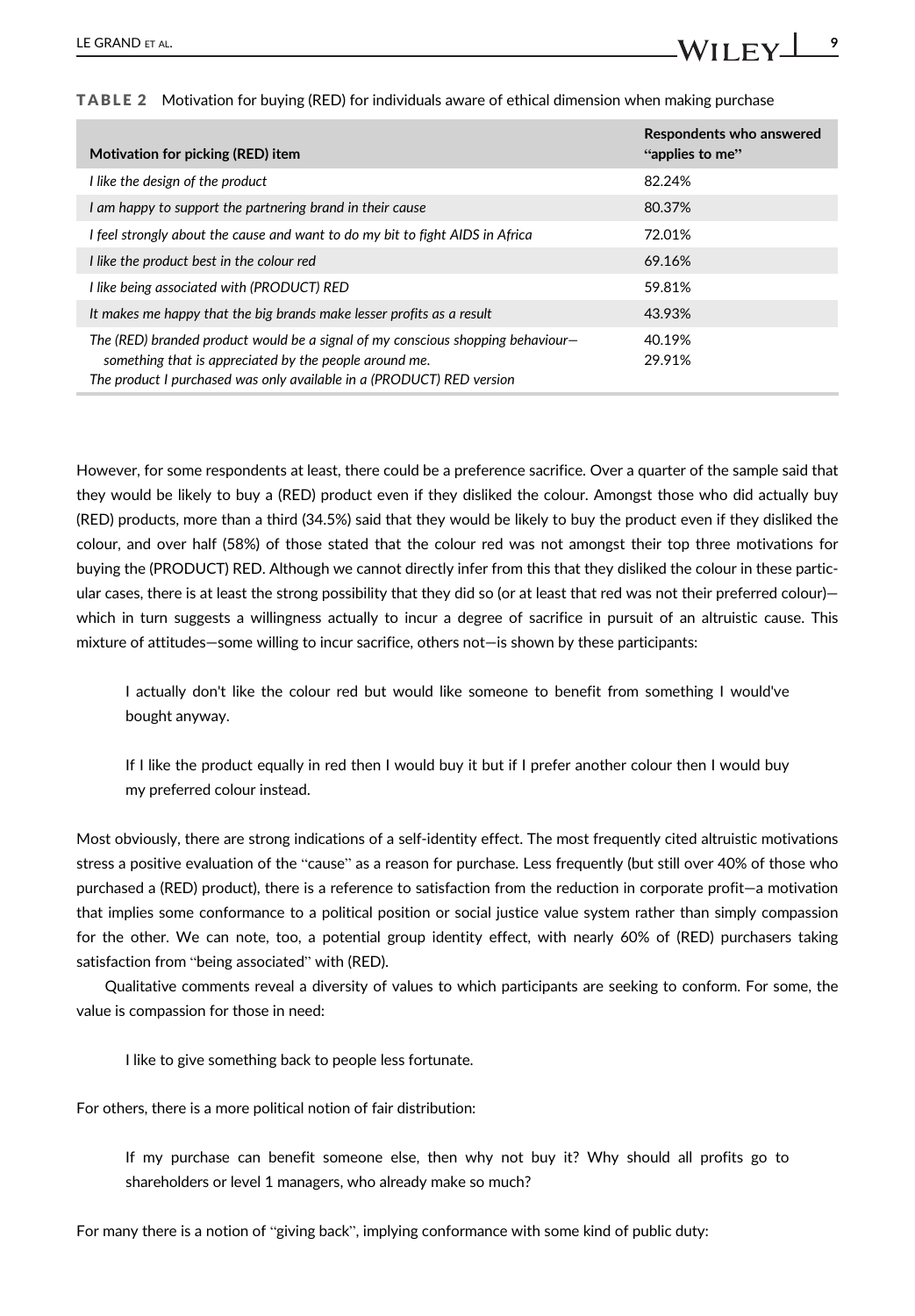| Motivation for picking (RED) item                                                                                                                                                                                  | Respondents who answered<br>"applies to me" |
|--------------------------------------------------------------------------------------------------------------------------------------------------------------------------------------------------------------------|---------------------------------------------|
| I like the design of the product                                                                                                                                                                                   | 82.24%                                      |
| I am happy to support the partnering brand in their cause                                                                                                                                                          | 80.37%                                      |
| I feel strongly about the cause and want to do my bit to fight AIDS in Africa                                                                                                                                      | 72.01%                                      |
| I like the product best in the colour red                                                                                                                                                                          | 69.16%                                      |
| I like being associated with (PRODUCT) RED                                                                                                                                                                         | 59.81%                                      |
| It makes me happy that the big brands make lesser profits as a result                                                                                                                                              | 43.93%                                      |
| The (RED) branded product would be a signal of my conscious shopping behaviour-<br>something that is appreciated by the people around me.<br>The product I purchased was only available in a (PRODUCT) RED version | 40.19%<br>29.91%                            |

TABLE 2 Motivation for buying (RED) for individuals aware of ethical dimension when making purchase

However, for some respondents at least, there could be a preference sacrifice. Over a quarter of the sample said that they would be likely to buy a (RED) product even if they disliked the colour. Amongst those who did actually buy (RED) products, more than a third (34.5%) said that they would be likely to buy the product even if they disliked the colour, and over half (58%) of those stated that the colour red was not amongst their top three motivations for buying the (PRODUCT) RED. Although we cannot directly infer from this that they disliked the colour in these particular cases, there is at least the strong possibility that they did so (or at least that red was not their preferred colour) which in turn suggests a willingness actually to incur a degree of sacrifice in pursuit of an altruistic cause. This mixture of attitudes—some willing to incur sacrifice, others not—is shown by these participants:

I actually don't like the colour red but would like someone to benefit from something I would've bought anyway.

If I like the product equally in red then I would buy it but if I prefer another colour then I would buy my preferred colour instead.

Most obviously, there are strong indications of a self-identity effect. The most frequently cited altruistic motivations stress a positive evaluation of the "cause" as a reason for purchase. Less frequently (but still over 40% of those who purchased a (RED) product), there is a reference to satisfaction from the reduction in corporate profit—a motivation that implies some conformance to a political position or social justice value system rather than simply compassion for the other. We can note, too, a potential group identity effect, with nearly 60% of (RED) purchasers taking satisfaction from "being associated" with (RED).

Qualitative comments reveal a diversity of values to which participants are seeking to conform. For some, the value is compassion for those in need:

I like to give something back to people less fortunate.

For others, there is a more political notion of fair distribution:

If my purchase can benefit someone else, then why not buy it? Why should all profits go to shareholders or level 1 managers, who already make so much?

For many there is a notion of "giving back", implying conformance with some kind of public duty: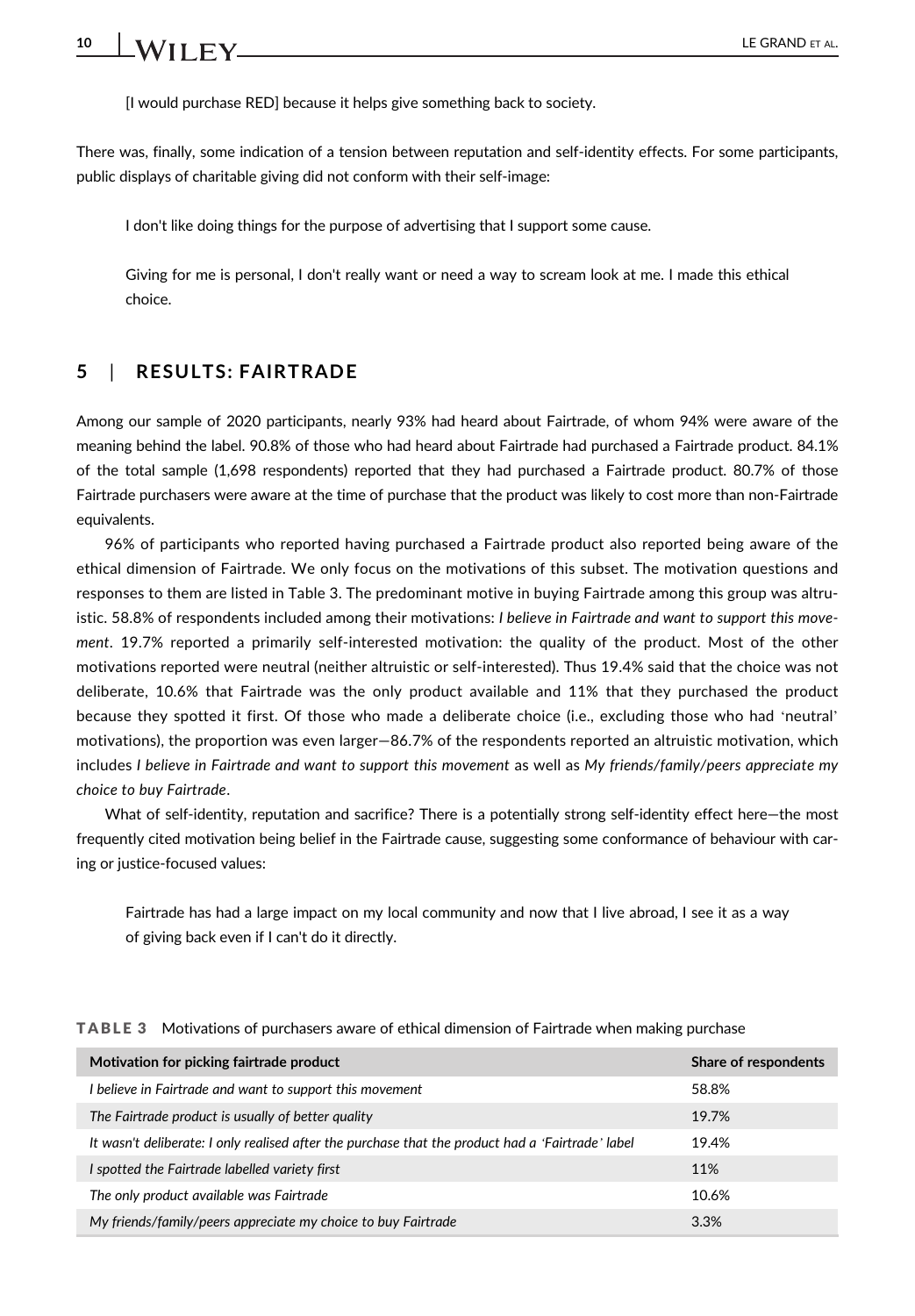[I would purchase RED] because it helps give something back to society.

There was, finally, some indication of a tension between reputation and self-identity effects. For some participants, public displays of charitable giving did not conform with their self-image:

I don't like doing things for the purpose of advertising that I support some cause.

Giving for me is personal, I don't really want or need a way to scream look at me. I made this ethical choice.

# 5 | RESULTS: FAIRTRADE

Among our sample of 2020 participants, nearly 93% had heard about Fairtrade, of whom 94% were aware of the meaning behind the label. 90.8% of those who had heard about Fairtrade had purchased a Fairtrade product. 84.1% of the total sample (1,698 respondents) reported that they had purchased a Fairtrade product. 80.7% of those Fairtrade purchasers were aware at the time of purchase that the product was likely to cost more than non-Fairtrade equivalents.

96% of participants who reported having purchased a Fairtrade product also reported being aware of the ethical dimension of Fairtrade. We only focus on the motivations of this subset. The motivation questions and responses to them are listed in Table 3. The predominant motive in buying Fairtrade among this group was altruistic. 58.8% of respondents included among their motivations: I believe in Fairtrade and want to support this movement. 19.7% reported a primarily self-interested motivation: the quality of the product. Most of the other motivations reported were neutral (neither altruistic or self-interested). Thus 19.4% said that the choice was not deliberate, 10.6% that Fairtrade was the only product available and 11% that they purchased the product because they spotted it first. Of those who made a deliberate choice (i.e., excluding those who had 'neutral' motivations), the proportion was even larger—86.7% of the respondents reported an altruistic motivation, which includes I believe in Fairtrade and want to support this movement as well as My friends/family/peers appreciate my choice to buy Fairtrade.

What of self-identity, reputation and sacrifice? There is a potentially strong self-identity effect here—the most frequently cited motivation being belief in the Fairtrade cause, suggesting some conformance of behaviour with caring or justice-focused values:

Fairtrade has had a large impact on my local community and now that I live abroad, I see it as a way of giving back even if I can't do it directly.

| Motivation for picking fairtrade product                                                          | Share of respondents |
|---------------------------------------------------------------------------------------------------|----------------------|
| I believe in Fairtrade and want to support this movement                                          | 58.8%                |
| The Fairtrade product is usually of better quality                                                | 19.7%                |
| It wasn't deliberate: I only realised after the purchase that the product had a 'Fairtrade' label | 19.4%                |
| I spotted the Fairtrade labelled variety first                                                    | 11%                  |
| The only product available was Fairtrade                                                          | 10.6%                |
| My friends/family/peers appreciate my choice to buy Fairtrade                                     | 3.3%                 |

TABLE 3 Motivations of purchasers aware of ethical dimension of Fairtrade when making purchase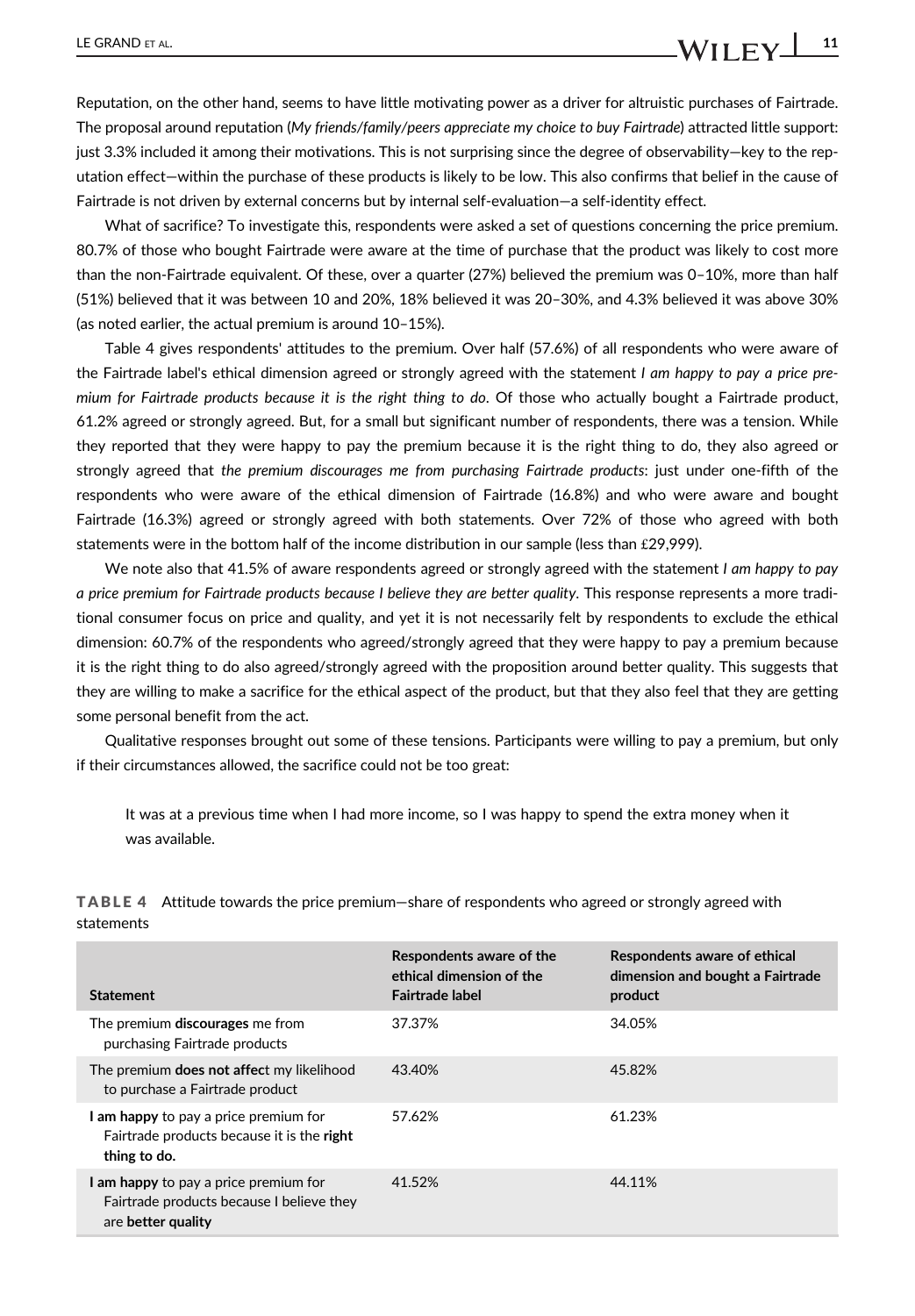Reputation, on the other hand, seems to have little motivating power as a driver for altruistic purchases of Fairtrade. The proposal around reputation (My friends/family/peers appreciate my choice to buy Fairtrade) attracted little support: just 3.3% included it among their motivations. This is not surprising since the degree of observability—key to the reputation effect—within the purchase of these products is likely to be low. This also confirms that belief in the cause of Fairtrade is not driven by external concerns but by internal self-evaluation—a self-identity effect.

What of sacrifice? To investigate this, respondents were asked a set of questions concerning the price premium. 80.7% of those who bought Fairtrade were aware at the time of purchase that the product was likely to cost more than the non-Fairtrade equivalent. Of these, over a quarter (27%) believed the premium was 0–10%, more than half (51%) believed that it was between 10 and 20%, 18% believed it was 20–30%, and 4.3% believed it was above 30% (as noted earlier, the actual premium is around 10–15%).

Table 4 gives respondents' attitudes to the premium. Over half (57.6%) of all respondents who were aware of the Fairtrade label's ethical dimension agreed or strongly agreed with the statement I am happy to pay a price premium for Fairtrade products because it is the right thing to do. Of those who actually bought a Fairtrade product, 61.2% agreed or strongly agreed. But, for a small but significant number of respondents, there was a tension. While they reported that they were happy to pay the premium because it is the right thing to do, they also agreed or strongly agreed that the premium discourages me from purchasing Fairtrade products: just under one-fifth of the respondents who were aware of the ethical dimension of Fairtrade (16.8%) and who were aware and bought Fairtrade (16.3%) agreed or strongly agreed with both statements. Over 72% of those who agreed with both statements were in the bottom half of the income distribution in our sample (less than £29,999).

We note also that 41.5% of aware respondents agreed or strongly agreed with the statement I am happy to pay a price premium for Fairtrade products because I believe they are better quality. This response represents a more traditional consumer focus on price and quality, and yet it is not necessarily felt by respondents to exclude the ethical dimension: 60.7% of the respondents who agreed/strongly agreed that they were happy to pay a premium because it is the right thing to do also agreed/strongly agreed with the proposition around better quality. This suggests that they are willing to make a sacrifice for the ethical aspect of the product, but that they also feel that they are getting some personal benefit from the act.

Qualitative responses brought out some of these tensions. Participants were willing to pay a premium, but only if their circumstances allowed, the sacrifice could not be too great:

It was at a previous time when I had more income, so I was happy to spend the extra money when it was available.

TABLE 4 Attitude towards the price premium—share of respondents who agreed or strongly agreed with statements

| <b>Statement</b>                                                                                         | Respondents aware of the<br>ethical dimension of the<br>Fairtrade label | Respondents aware of ethical<br>dimension and bought a Fairtrade<br>product |
|----------------------------------------------------------------------------------------------------------|-------------------------------------------------------------------------|-----------------------------------------------------------------------------|
| The premium <b>discourages</b> me from<br>purchasing Fairtrade products                                  | 37.37%                                                                  | 34.05%                                                                      |
| The premium does not affect my likelihood<br>to purchase a Fairtrade product                             | 43.40%                                                                  | 45.82%                                                                      |
| I am happy to pay a price premium for<br>Fairtrade products because it is the right<br>thing to do.      | 57.62%                                                                  | 61.23%                                                                      |
| I am happy to pay a price premium for<br>Fairtrade products because I believe they<br>are better quality | 41.52%                                                                  | 44.11%                                                                      |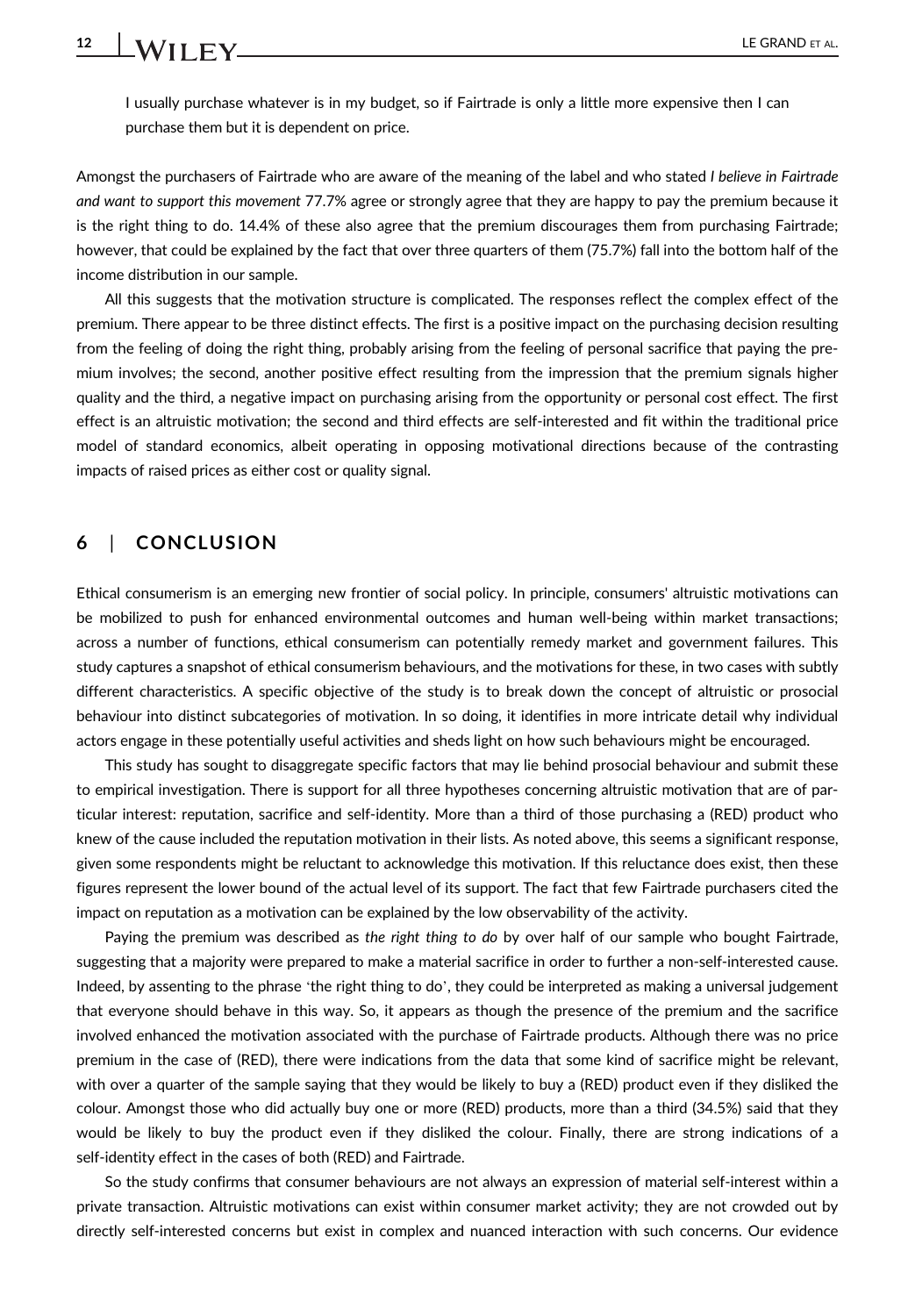I usually purchase whatever is in my budget, so if Fairtrade is only a little more expensive then I can purchase them but it is dependent on price.

Amongst the purchasers of Fairtrade who are aware of the meaning of the label and who stated I believe in Fairtrade and want to support this movement 77.7% agree or strongly agree that they are happy to pay the premium because it is the right thing to do. 14.4% of these also agree that the premium discourages them from purchasing Fairtrade; however, that could be explained by the fact that over three quarters of them (75.7%) fall into the bottom half of the income distribution in our sample.

All this suggests that the motivation structure is complicated. The responses reflect the complex effect of the premium. There appear to be three distinct effects. The first is a positive impact on the purchasing decision resulting from the feeling of doing the right thing, probably arising from the feeling of personal sacrifice that paying the premium involves; the second, another positive effect resulting from the impression that the premium signals higher quality and the third, a negative impact on purchasing arising from the opportunity or personal cost effect. The first effect is an altruistic motivation; the second and third effects are self-interested and fit within the traditional price model of standard economics, albeit operating in opposing motivational directions because of the contrasting impacts of raised prices as either cost or quality signal.

# 6 | CONCLUSION

Ethical consumerism is an emerging new frontier of social policy. In principle, consumers' altruistic motivations can be mobilized to push for enhanced environmental outcomes and human well-being within market transactions; across a number of functions, ethical consumerism can potentially remedy market and government failures. This study captures a snapshot of ethical consumerism behaviours, and the motivations for these, in two cases with subtly different characteristics. A specific objective of the study is to break down the concept of altruistic or prosocial behaviour into distinct subcategories of motivation. In so doing, it identifies in more intricate detail why individual actors engage in these potentially useful activities and sheds light on how such behaviours might be encouraged.

This study has sought to disaggregate specific factors that may lie behind prosocial behaviour and submit these to empirical investigation. There is support for all three hypotheses concerning altruistic motivation that are of particular interest: reputation, sacrifice and self-identity. More than a third of those purchasing a (RED) product who knew of the cause included the reputation motivation in their lists. As noted above, this seems a significant response, given some respondents might be reluctant to acknowledge this motivation. If this reluctance does exist, then these figures represent the lower bound of the actual level of its support. The fact that few Fairtrade purchasers cited the impact on reputation as a motivation can be explained by the low observability of the activity.

Paying the premium was described as the right thing to do by over half of our sample who bought Fairtrade, suggesting that a majority were prepared to make a material sacrifice in order to further a non-self-interested cause. Indeed, by assenting to the phrase 'the right thing to do', they could be interpreted as making a universal judgement that everyone should behave in this way. So, it appears as though the presence of the premium and the sacrifice involved enhanced the motivation associated with the purchase of Fairtrade products. Although there was no price premium in the case of (RED), there were indications from the data that some kind of sacrifice might be relevant, with over a quarter of the sample saying that they would be likely to buy a (RED) product even if they disliked the colour. Amongst those who did actually buy one or more (RED) products, more than a third (34.5%) said that they would be likely to buy the product even if they disliked the colour. Finally, there are strong indications of a self-identity effect in the cases of both (RED) and Fairtrade.

So the study confirms that consumer behaviours are not always an expression of material self-interest within a private transaction. Altruistic motivations can exist within consumer market activity; they are not crowded out by directly self-interested concerns but exist in complex and nuanced interaction with such concerns. Our evidence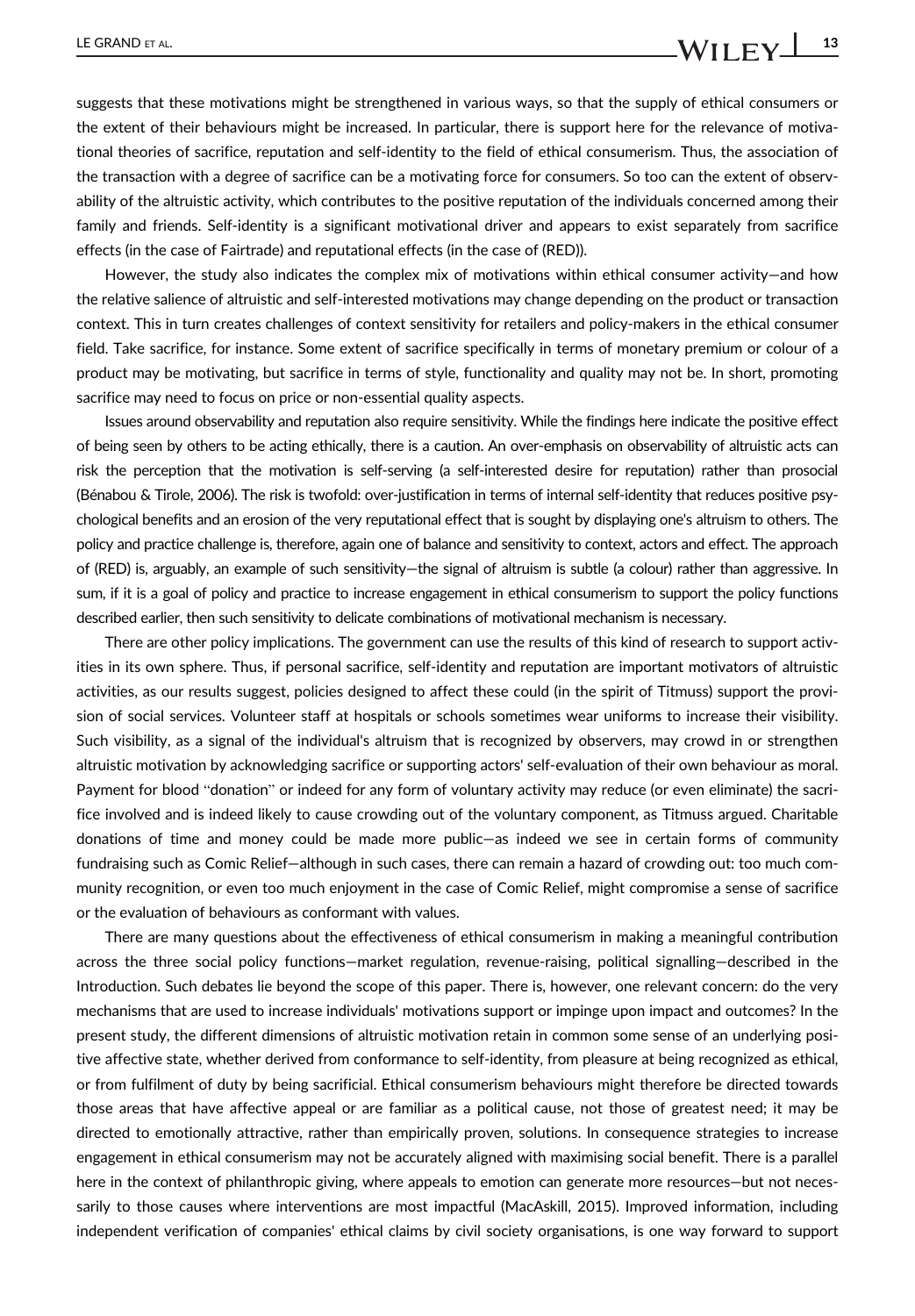suggests that these motivations might be strengthened in various ways, so that the supply of ethical consumers or the extent of their behaviours might be increased. In particular, there is support here for the relevance of motivational theories of sacrifice, reputation and self-identity to the field of ethical consumerism. Thus, the association of the transaction with a degree of sacrifice can be a motivating force for consumers. So too can the extent of observability of the altruistic activity, which contributes to the positive reputation of the individuals concerned among their family and friends. Self-identity is a significant motivational driver and appears to exist separately from sacrifice effects (in the case of Fairtrade) and reputational effects (in the case of (RED)).

However, the study also indicates the complex mix of motivations within ethical consumer activity—and how the relative salience of altruistic and self-interested motivations may change depending on the product or transaction context. This in turn creates challenges of context sensitivity for retailers and policy-makers in the ethical consumer field. Take sacrifice, for instance. Some extent of sacrifice specifically in terms of monetary premium or colour of a product may be motivating, but sacrifice in terms of style, functionality and quality may not be. In short, promoting sacrifice may need to focus on price or non-essential quality aspects.

Issues around observability and reputation also require sensitivity. While the findings here indicate the positive effect of being seen by others to be acting ethically, there is a caution. An over-emphasis on observability of altruistic acts can risk the perception that the motivation is self-serving (a self-interested desire for reputation) rather than prosocial (Bénabou & Tirole, 2006). The risk is twofold: over-justification in terms of internal self-identity that reduces positive psychological benefits and an erosion of the very reputational effect that is sought by displaying one's altruism to others. The policy and practice challenge is, therefore, again one of balance and sensitivity to context, actors and effect. The approach of (RED) is, arguably, an example of such sensitivity—the signal of altruism is subtle (a colour) rather than aggressive. In sum, if it is a goal of policy and practice to increase engagement in ethical consumerism to support the policy functions described earlier, then such sensitivity to delicate combinations of motivational mechanism is necessary.

There are other policy implications. The government can use the results of this kind of research to support activities in its own sphere. Thus, if personal sacrifice, self-identity and reputation are important motivators of altruistic activities, as our results suggest, policies designed to affect these could (in the spirit of Titmuss) support the provision of social services. Volunteer staff at hospitals or schools sometimes wear uniforms to increase their visibility. Such visibility, as a signal of the individual's altruism that is recognized by observers, may crowd in or strengthen altruistic motivation by acknowledging sacrifice or supporting actors' self-evaluation of their own behaviour as moral. Payment for blood "donation" or indeed for any form of voluntary activity may reduce (or even eliminate) the sacrifice involved and is indeed likely to cause crowding out of the voluntary component, as Titmuss argued. Charitable donations of time and money could be made more public—as indeed we see in certain forms of community fundraising such as Comic Relief—although in such cases, there can remain a hazard of crowding out: too much community recognition, or even too much enjoyment in the case of Comic Relief, might compromise a sense of sacrifice or the evaluation of behaviours as conformant with values.

There are many questions about the effectiveness of ethical consumerism in making a meaningful contribution across the three social policy functions—market regulation, revenue-raising, political signalling—described in the Introduction. Such debates lie beyond the scope of this paper. There is, however, one relevant concern: do the very mechanisms that are used to increase individuals' motivations support or impinge upon impact and outcomes? In the present study, the different dimensions of altruistic motivation retain in common some sense of an underlying positive affective state, whether derived from conformance to self-identity, from pleasure at being recognized as ethical, or from fulfilment of duty by being sacrificial. Ethical consumerism behaviours might therefore be directed towards those areas that have affective appeal or are familiar as a political cause, not those of greatest need; it may be directed to emotionally attractive, rather than empirically proven, solutions. In consequence strategies to increase engagement in ethical consumerism may not be accurately aligned with maximising social benefit. There is a parallel here in the context of philanthropic giving, where appeals to emotion can generate more resources—but not necessarily to those causes where interventions are most impactful (MacAskill, 2015). Improved information, including independent verification of companies' ethical claims by civil society organisations, is one way forward to support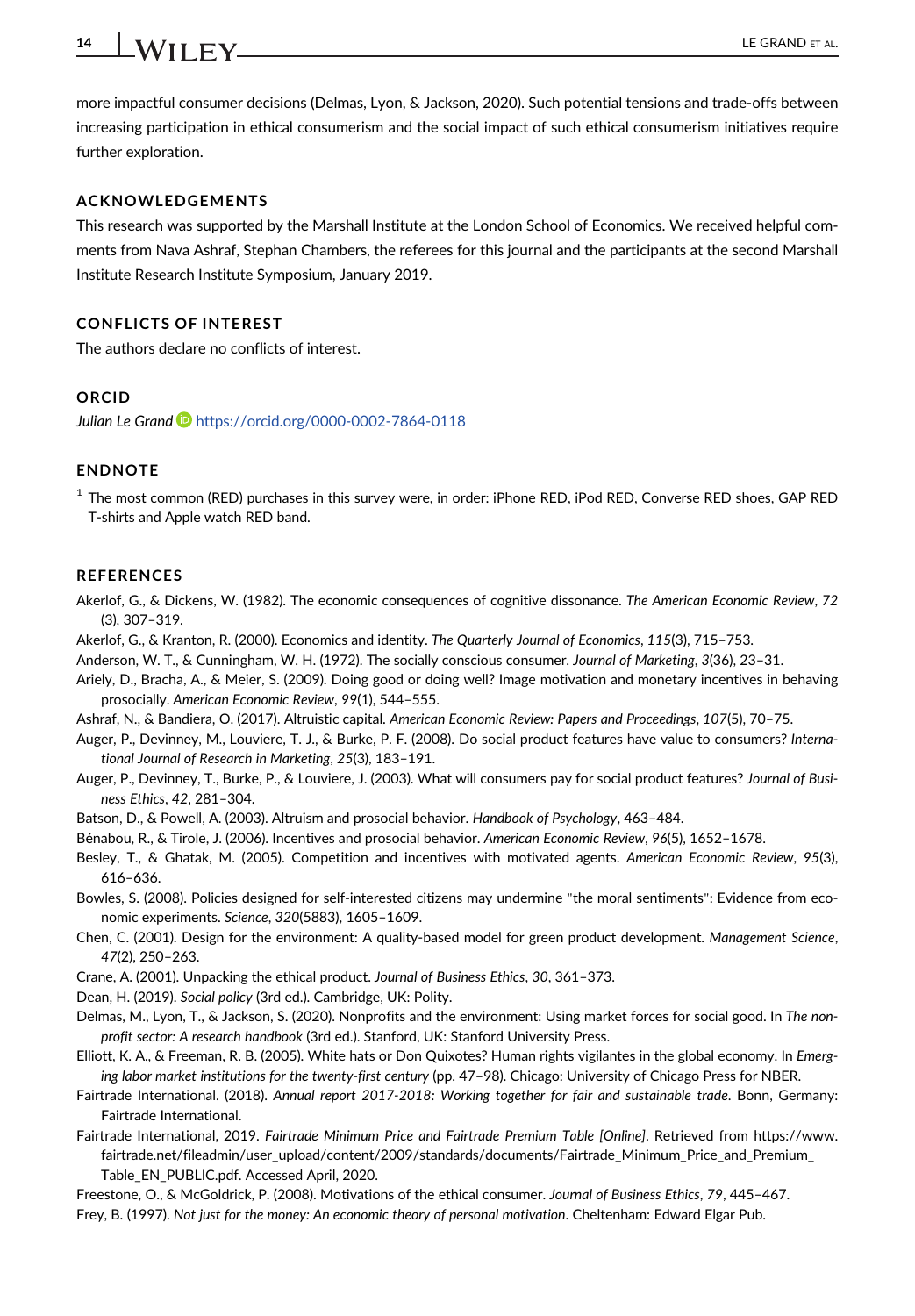# $14$  WII FV  $\overline{\phantom{a}}$  LE GRAND ET AL.

more impactful consumer decisions (Delmas, Lyon, & Jackson, 2020). Such potential tensions and trade-offs between increasing participation in ethical consumerism and the social impact of such ethical consumerism initiatives require further exploration.

#### ACKNOWLEDGEMENTS

This research was supported by the Marshall Institute at the London School of Economics. We received helpful comments from Nava Ashraf, Stephan Chambers, the referees for this journal and the participants at the second Marshall Institute Research Institute Symposium, January 2019.

#### CONFLICTS OF INTEREST

The authors declare no conflicts of interest.

#### ORCID

Julian Le Grand D<https://orcid.org/0000-0002-7864-0118>

#### ENDNOTE

<sup>1</sup> The most common (RED) purchases in this survey were, in order: iPhone RED, iPod RED, Converse RED shoes, GAP RED T-shirts and Apple watch RED band.

#### **REFERENCES**

- Akerlof, G., & Dickens, W. (1982). The economic consequences of cognitive dissonance. The American Economic Review, 72 (3), 307–319.
- Akerlof, G., & Kranton, R. (2000). Economics and identity. The Quarterly Journal of Economics, 115(3), 715–753.
- Anderson, W. T., & Cunningham, W. H. (1972). The socially conscious consumer. Journal of Marketing, 3(36), 23–31.
- Ariely, D., Bracha, A., & Meier, S. (2009). Doing good or doing well? Image motivation and monetary incentives in behaving prosocially. American Economic Review, 99(1), 544–555.
- Ashraf, N., & Bandiera, O. (2017). Altruistic capital. American Economic Review: Papers and Proceedings, 107(5), 70–75.
- Auger, P., Devinney, M., Louviere, T. J., & Burke, P. F. (2008). Do social product features have value to consumers? International Journal of Research in Marketing, 25(3), 183–191.
- Auger, P., Devinney, T., Burke, P., & Louviere, J. (2003). What will consumers pay for social product features? Journal of Business Ethics, 42, 281–304.
- Batson, D., & Powell, A. (2003). Altruism and prosocial behavior. Handbook of Psychology, 463–484.
- Bénabou, R., & Tirole, J. (2006). Incentives and prosocial behavior. American Economic Review, 96(5), 1652–1678.
- Besley, T., & Ghatak, M. (2005). Competition and incentives with motivated agents. American Economic Review, 95(3), 616–636.
- Bowles, S. (2008). Policies designed for self-interested citizens may undermine "the moral sentiments": Evidence from economic experiments. Science, 320(5883), 1605–1609.
- Chen, C. (2001). Design for the environment: A quality-based model for green product development. Management Science, 47(2), 250–263.
- Crane, A. (2001). Unpacking the ethical product. Journal of Business Ethics, 30, 361–373.
- Dean, H. (2019). Social policy (3rd ed.). Cambridge, UK: Polity.
- Delmas, M., Lyon, T., & Jackson, S. (2020). Nonprofits and the environment: Using market forces for social good. In The nonprofit sector: A research handbook (3rd ed.). Stanford, UK: Stanford University Press.
- Elliott, K. A., & Freeman, R. B. (2005). White hats or Don Quixotes? Human rights vigilantes in the global economy. In Emerging labor market institutions for the twenty-first century (pp. 47–98). Chicago: University of Chicago Press for NBER.
- Fairtrade International. (2018). Annual report 2017-2018: Working together for fair and sustainable trade. Bonn, Germany: Fairtrade International.
- Fairtrade International, 2019. Fairtrade Minimum Price and Fairtrade Premium Table [Online]. Retrieved from [https://www.](https://www.fairtrade.net/fileadmin/user_upload/content/2009/standards/documents/Fairtrade_Minimum_Price_and_Premium_Table_EN_PUBLIC.pdf) [fairtrade.net/fileadmin/user\\_upload/content/2009/standards/documents/Fairtrade\\_Minimum\\_Price\\_and\\_Premium\\_](https://www.fairtrade.net/fileadmin/user_upload/content/2009/standards/documents/Fairtrade_Minimum_Price_and_Premium_Table_EN_PUBLIC.pdf) [Table\\_EN\\_PUBLIC.pdf](https://www.fairtrade.net/fileadmin/user_upload/content/2009/standards/documents/Fairtrade_Minimum_Price_and_Premium_Table_EN_PUBLIC.pdf). Accessed April, 2020.
- Freestone, O., & McGoldrick, P. (2008). Motivations of the ethical consumer. Journal of Business Ethics, 79, 445–467.
- Frey, B. (1997). Not just for the money: An economic theory of personal motivation. Cheltenham: Edward Elgar Pub.